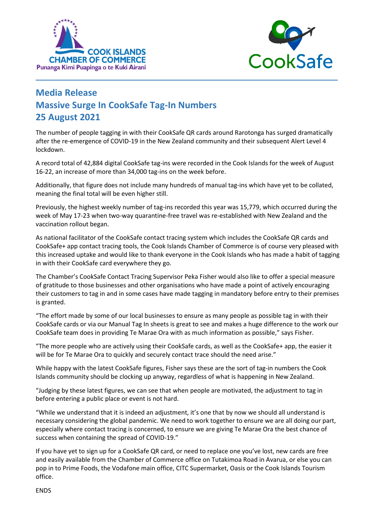



## **Media Release Massive Surge In CookSafe Tag-In Numbers 25 August 2021**

The number of people tagging in with their CookSafe QR cards around Rarotonga has surged dramatically after the re-emergence of COVID-19 in the New Zealand community and their subsequent Alert Level 4 lockdown.

**\_\_\_\_\_\_\_\_\_\_\_\_\_\_\_\_\_\_\_\_\_\_\_\_\_\_\_\_\_\_\_\_\_\_\_\_\_\_\_\_\_\_\_\_\_\_\_\_\_\_\_\_\_\_\_\_\_\_\_\_\_\_\_\_\_\_\_\_\_\_\_\_\_\_\_\_\_\_\_\_** 

A record total of 42,884 digital CookSafe tag-ins were recorded in the Cook Islands for the week of August 16-22, an increase of more than 34,000 tag-ins on the week before.

Additionally, that figure does not include many hundreds of manual tag-ins which have yet to be collated, meaning the final total will be even higher still.

Previously, the highest weekly number of tag-ins recorded this year was 15,779, which occurred during the week of May 17-23 when two-way quarantine-free travel was re-established with New Zealand and the vaccination rollout began.

As national facilitator of the CookSafe contact tracing system which includes the CookSafe QR cards and CookSafe+ app contact tracing tools, the Cook Islands Chamber of Commerce is of course very pleased with this increased uptake and would like to thank everyone in the Cook Islands who has made a habit of tagging in with their CookSafe card everywhere they go.

The Chamber's CookSafe Contact Tracing Supervisor Peka Fisher would also like to offer a special measure of gratitude to those businesses and other organisations who have made a point of actively encouraging their customers to tag in and in some cases have made tagging in mandatory before entry to their premises is granted.

"The effort made by some of our local businesses to ensure as many people as possible tag in with their CookSafe cards or via our Manual Tag In sheets is great to see and makes a huge difference to the work our CookSafe team does in providing Te Marae Ora with as much information as possible," says Fisher.

"The more people who are actively using their CookSafe cards, as well as the CookSafe+ app, the easier it will be for Te Marae Ora to quickly and securely contact trace should the need arise."

While happy with the latest CookSafe figures, Fisher says these are the sort of tag-in numbers the Cook Islands community should be clocking up anyway, regardless of what is happening in New Zealand.

"Judging by these latest figures, we can see that when people are motivated, the adjustment to tag in before entering a public place or event is not hard.

"While we understand that it is indeed an adjustment, it's one that by now we should all understand is necessary considering the global pandemic. We need to work together to ensure we are all doing our part, especially where contact tracing is concerned, to ensure we are giving Te Marae Ora the best chance of success when containing the spread of COVID-19."

If you have yet to sign up for a CookSafe QR card, or need to replace one you've lost, new cards are free and easily available from the Chamber of Commerce office on Tutakimoa Road in Avarua, or else you can pop in to Prime Foods, the Vodafone main office, CITC Supermarket, Oasis or the Cook Islands Tourism office.

## ENDS